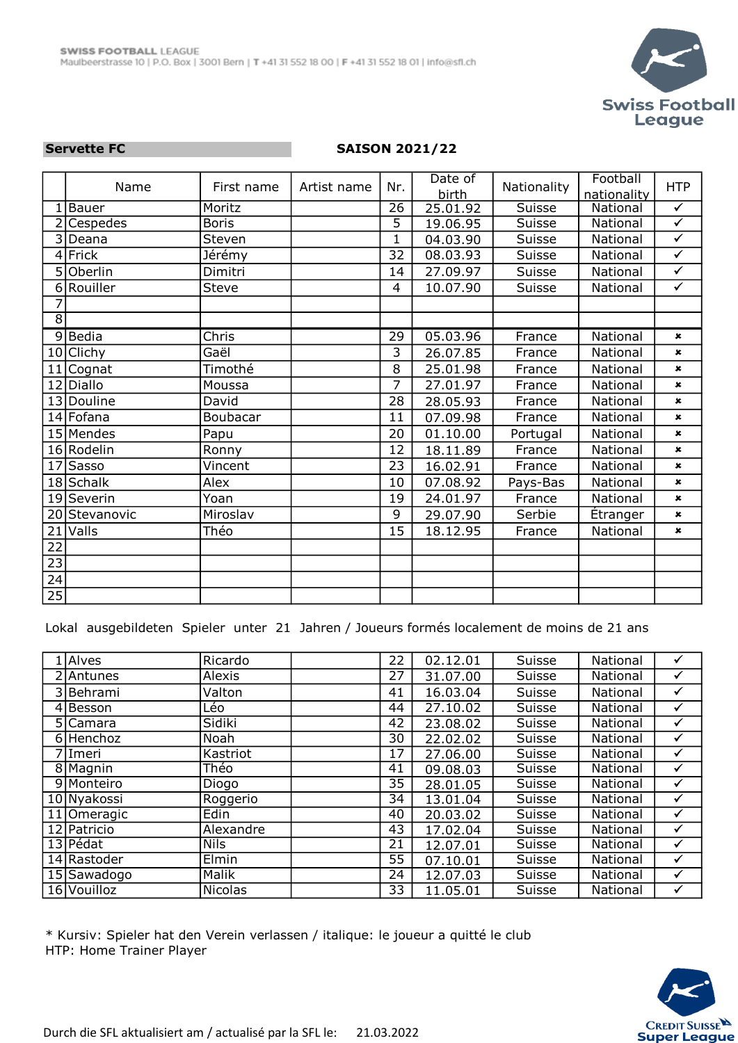

## Servette FC SAISON 2021/22

|                 | Name          | First name   | Artist name | Nr.             | Date of<br><b>birth</b> | Nationality   | Football<br>nationality | <b>HTP</b>              |
|-----------------|---------------|--------------|-------------|-----------------|-------------------------|---------------|-------------------------|-------------------------|
|                 | Bauer         | Moritz       |             | $\overline{26}$ | 25.01.92                | <b>Suisse</b> | <b>National</b>         | $\checkmark$            |
|                 | Cespedes      | <b>Boris</b> |             | $\overline{5}$  | 19.06.95                | <b>Suisse</b> | National                | $\overline{\checkmark}$ |
|                 | 3 Deana       | Steven       |             | $\mathbf{1}$    | 04.03.90                | Suisse        | National                | $\checkmark$            |
|                 | 4 Frick       | Jérémy       |             | 32              | 08.03.93                | Suisse        | National                | $\checkmark$            |
|                 | 5 Oberlin     | Dimitri      |             | 14              | 27.09.97                | Suisse        | National                | $\checkmark$            |
| 6               | Rouiller      | Steve        |             | 4               | 10.07.90                | Suisse        | National                | $\checkmark$            |
| 7               |               |              |             |                 |                         |               |                         |                         |
| $\overline{8}$  |               |              |             |                 |                         |               |                         |                         |
|                 | 9Bedia        | Chris        |             | 29              | 05.03.96                | France        | National                | $\pmb{\times}$          |
|                 | 10 Clichy     | Gaël         |             | 3               | 26.07.85                | France        | National                | $\pmb{x}$               |
| 11              | Cognat        | Timothé      |             | 8               | 25.01.98                | France        | National                | $\pmb{\times}$          |
|                 | 12 Diallo     | Moussa       |             | $\overline{7}$  | 27.01.97                | France        | National                | $\pmb{\times}$          |
|                 | 13 Douline    | David        |             | 28              | 28.05.93                | France        | National                | $\pmb{\times}$          |
|                 | 14 Fofana     | Boubacar     |             | 11              | 07.09.98                | France        | National                | $\pmb{\times}$          |
|                 | 15 Mendes     | Papu         |             | 20              | 01.10.00                | Portugal      | National                | $\pmb{\times}$          |
|                 | 16 Rodelin    | Ronny        |             | 12              | 18.11.89                | France        | National                | $\pmb{\times}$          |
| 17              | <b>Sasso</b>  | Vincent      |             | 23              | 16.02.91                | France        | National                | $\mathbf x$             |
|                 | $18$ Schalk   | Alex         |             | 10              | 07.08.92                | Pays-Bas      | National                | $\mathbf{x}$            |
|                 | 19 Severin    | Yoan         |             | 19              | 24.01.97                | France        | National                | $\pmb{\times}$          |
|                 | 20 Stevanovic | Miroslav     |             | 9               | 29.07.90                | Serbie        | Étranger                | $\pmb{\times}$          |
| 21              | Valls         | Théo         |             | 15              | 18.12.95                | France        | National                | $\pmb{\times}$          |
| 22              |               |              |             |                 |                         |               |                         |                         |
| $\overline{23}$ |               |              |             |                 |                         |               |                         |                         |
| $\overline{24}$ |               |              |             |                 |                         |               |                         |                         |
| 25              |               |              |             |                 |                         |               |                         |                         |

Lokal ausgebildeten Spieler unter 21 Jahren / Joueurs formés localement de moins de 21 ans

| Alves                 | Ricardo     | 22 | 02.12.01 | Suisse | National | ✓            |
|-----------------------|-------------|----|----------|--------|----------|--------------|
| 2 Antunes             | Alexis      | 27 | 31.07.00 | Suisse | National | $\checkmark$ |
| 3 Behrami             | Valton      | 41 | 16.03.04 | Suisse | National | $\checkmark$ |
| $\overline{4}$ Besson | Léo         | 44 | 27.10.02 | Suisse | National | $\checkmark$ |
| 5 Camara              | Sidiki      | 42 | 23.08.02 | Suisse | National | $\checkmark$ |
| 6 Henchoz             | Noah        | 30 | 22.02.02 | Suisse | National | $\checkmark$ |
| 7 Imeri               | Kastriot    | 17 | 27.06.00 | Suisse | National | $\checkmark$ |
| 8 Magnin              | Théo        | 41 | 09.08.03 | Suisse | National | ✓            |
| 9 Monteiro            | Diogo       | 35 | 28.01.05 | Suisse | National | $\checkmark$ |
| 10 Nyakossi           | Roggerio    | 34 | 13.01.04 | Suisse | National | $\checkmark$ |
| 11 Omeragic           | Edin        | 40 | 20.03.02 | Suisse | National | $\checkmark$ |
| 12 Patricio           | Alexandre   | 43 | 17.02.04 | Suisse | National | ✓            |
| 13 Pédat              | <b>Nils</b> | 21 | 12.07.01 | Suisse | National | $\checkmark$ |
| 14 Rastoder           | Elmin       | 55 | 07.10.01 | Suisse | National | $\checkmark$ |
| 15 Sawadogo           | Malik       | 24 | 12.07.03 | Suisse | National | $\checkmark$ |
| 16 Vouilloz           | Nicolas     | 33 | 11.05.01 | Suisse | National | ✓            |

\* Kursiv: Spieler hat den Verein verlassen / italique: le joueur a quitté le club HTP: Home Trainer Player